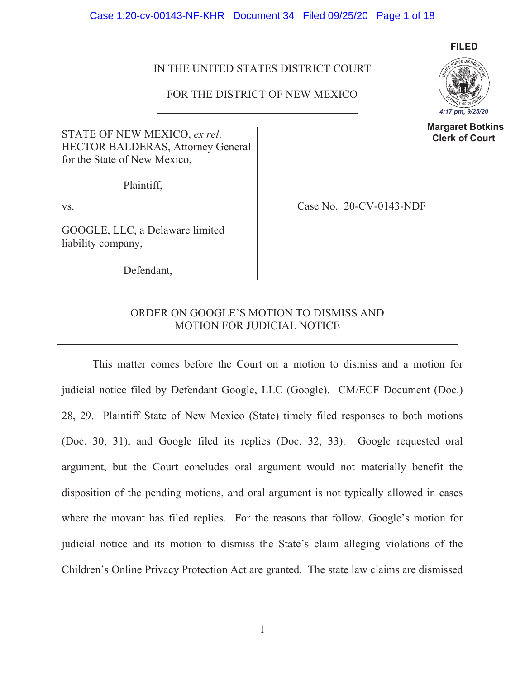Case 1:20-cv-00143-NF-KHR Document 34 Filed 09/25/20 Page 1 of 18

# IN THE UNITED STATES DISTRICT COURT

## FOR THE DISTRICT OF NEW MEXICO

STATE OF NEW MEXICO, *ex rel*. HECTOR BALDERAS, Attorney General for the State of New Mexico,

Plaintiff,

GOOGLE, LLC, a Delaware limited liability company,

vs. Case No. 20-CV-0143-NDF

Defendant,

# ORDER ON GOOGLE'S MOTION TO DISMISS AND MOTION FOR JUDICIAL NOTICE

 This matter comes before the Court on a motion to dismiss and a motion for judicial notice filed by Defendant Google, LLC (Google). CM/ECF Document (Doc.) 28, 29. Plaintiff State of New Mexico (State) timely filed responses to both motions (Doc. 30, 31), and Google filed its replies (Doc. 32, 33). Google requested oral argument, but the Court concludes oral argument would not materially benefit the disposition of the pending motions, and oral argument is not typically allowed in cases where the movant has filed replies. For the reasons that follow, Google's motion for judicial notice and its motion to dismiss the State's claim alleging violations of the Children's Online Privacy Protection Act are granted. The state law claims are dismissed



 **Margaret Botkins Clerk of Court**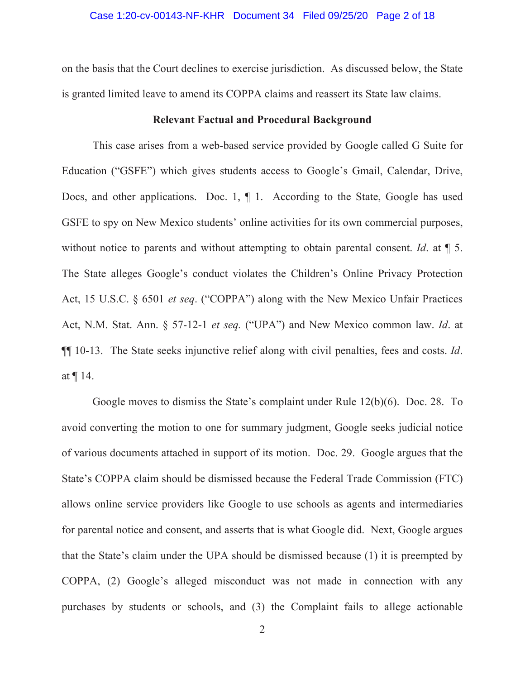### Case 1:20-cv-00143-NF-KHR Document 34 Filed 09/25/20 Page 2 of 18

on the basis that the Court declines to exercise jurisdiction. As discussed below, the State is granted limited leave to amend its COPPA claims and reassert its State law claims.

### **Relevant Factual and Procedural Background**

This case arises from a web-based service provided by Google called G Suite for Education ("GSFE") which gives students access to Google's Gmail, Calendar, Drive, Docs, and other applications. Doc. 1, ¶ 1. According to the State, Google has used GSFE to spy on New Mexico students' online activities for its own commercial purposes, without notice to parents and without attempting to obtain parental consent. *Id*. at ¶ 5. The State alleges Google's conduct violates the Children's Online Privacy Protection Act, 15 U.S.C. § 6501 *et seq*. ("COPPA") along with the New Mexico Unfair Practices Act, N.M. Stat. Ann. § 57-12-1 *et seq.* ("UPA") and New Mexico common law. *Id*. at ¶¶ 10-13. The State seeks injunctive relief along with civil penalties, fees and costs. *Id*. at ¶ 14.

 Google moves to dismiss the State's complaint under Rule 12(b)(6). Doc. 28. To avoid converting the motion to one for summary judgment, Google seeks judicial notice of various documents attached in support of its motion. Doc. 29. Google argues that the State's COPPA claim should be dismissed because the Federal Trade Commission (FTC) allows online service providers like Google to use schools as agents and intermediaries for parental notice and consent, and asserts that is what Google did. Next, Google argues that the State's claim under the UPA should be dismissed because (1) it is preempted by COPPA, (2) Google's alleged misconduct was not made in connection with any purchases by students or schools, and (3) the Complaint fails to allege actionable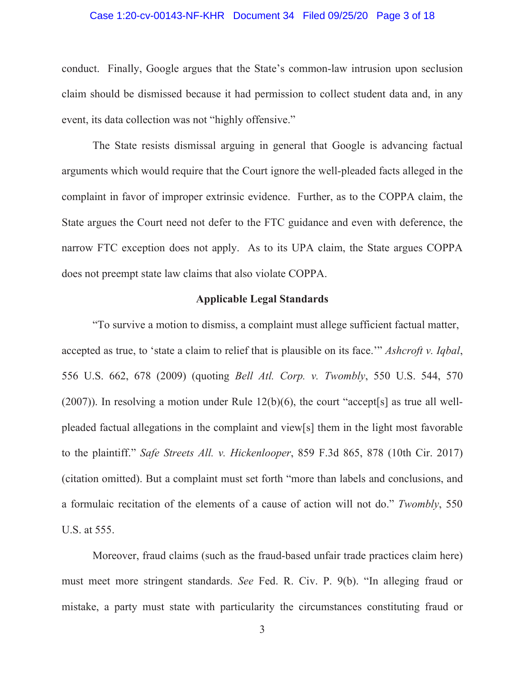### Case 1:20-cv-00143-NF-KHR Document 34 Filed 09/25/20 Page 3 of 18

conduct. Finally, Google argues that the State's common-law intrusion upon seclusion claim should be dismissed because it had permission to collect student data and, in any event, its data collection was not "highly offensive."

 The State resists dismissal arguing in general that Google is advancing factual arguments which would require that the Court ignore the well-pleaded facts alleged in the complaint in favor of improper extrinsic evidence. Further, as to the COPPA claim, the State argues the Court need not defer to the FTC guidance and even with deference, the narrow FTC exception does not apply. As to its UPA claim, the State argues COPPA does not preempt state law claims that also violate COPPA.

## **Applicable Legal Standards**

"To survive a motion to dismiss, a complaint must allege sufficient factual matter, accepted as true, to 'state a claim to relief that is plausible on its face.'" *Ashcroft v. Iqbal*, 556 U.S. 662, 678 (2009) (quoting *Bell Atl. Corp. v. Twombly*, 550 U.S. 544, 570 (2007)). In resolving a motion under Rule 12(b)(6), the court "accept[s] as true all wellpleaded factual allegations in the complaint and view[s] them in the light most favorable to the plaintiff." *Safe Streets All. v. Hickenlooper*, 859 F.3d 865, 878 (10th Cir. 2017) (citation omitted). But a complaint must set forth "more than labels and conclusions, and a formulaic recitation of the elements of a cause of action will not do." *Twombly*, 550 U.S. at 555.

Moreover, fraud claims (such as the fraud-based unfair trade practices claim here) must meet more stringent standards. *See* Fed. R. Civ. P. 9(b). "In alleging fraud or mistake, a party must state with particularity the circumstances constituting fraud or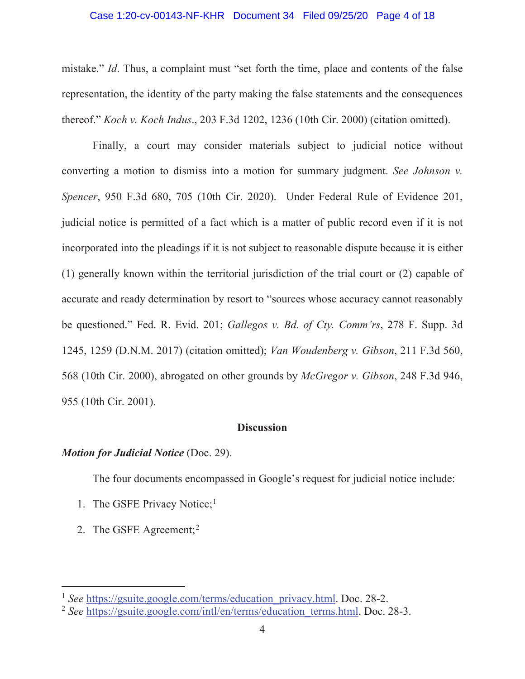### Case 1:20-cv-00143-NF-KHR Document 34 Filed 09/25/20 Page 4 of 18

mistake." *Id*. Thus, a complaint must "set forth the time, place and contents of the false representation, the identity of the party making the false statements and the consequences thereof." *Koch v. Koch Indus*., 203 F.3d 1202, 1236 (10th Cir. 2000) (citation omitted).

Finally, a court may consider materials subject to judicial notice without converting a motion to dismiss into a motion for summary judgment. *See Johnson v. Spencer*, 950 F.3d 680, 705 (10th Cir. 2020). Under Federal Rule of Evidence 201, judicial notice is permitted of a fact which is a matter of public record even if it is not incorporated into the pleadings if it is not subject to reasonable dispute because it is either (1) generally known within the territorial jurisdiction of the trial court or (2) capable of accurate and ready determination by resort to "sources whose accuracy cannot reasonably be questioned." Fed. R. Evid. 201; *Gallegos v. Bd. of Cty. Comm'rs*, 278 F. Supp. 3d 1245, 1259 (D.N.M. 2017) (citation omitted); *Van Woudenberg v. Gibson*, 211 F.3d 560, 568 (10th Cir. 2000), abrogated on other grounds by *McGregor v. Gibson*, 248 F.3d 946, 955 (10th Cir. 2001).

# **Discussion**

### *Motion for Judicial Notice* (Doc. 29).

The four documents encompassed in Google's request for judicial notice include:

- 1. The GSFE Privacy Notice; $<sup>1</sup>$ </sup>
- 2. The GSFE Agreement;<sup>2</sup>

<sup>&</sup>lt;sup>1</sup> See https://gsuite.google.com/terms/education\_privacy.html. Doc. 28-2.

<sup>&</sup>lt;sup>2</sup> See https://gsuite.google.com/intl/en/terms/education\_terms.html. Doc. 28-3.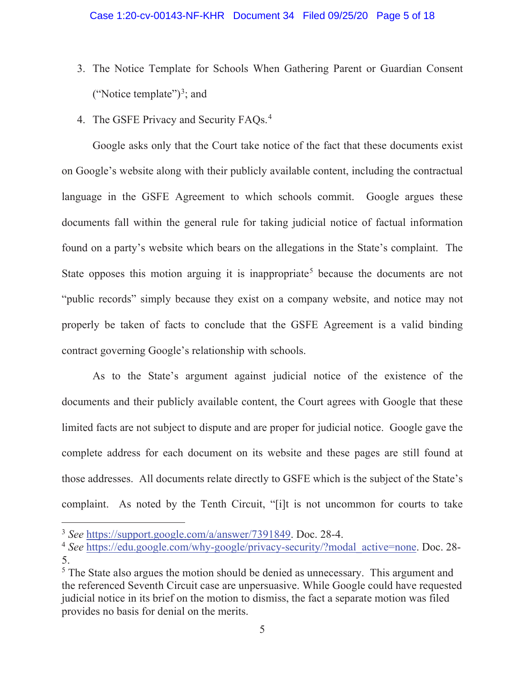- 3. The Notice Template for Schools When Gathering Parent or Guardian Consent ("Notice template")<sup>3</sup>; and
- 4. The GSFE Privacy and Security FAQs.<sup>4</sup>

Google asks only that the Court take notice of the fact that these documents exist on Google's website along with their publicly available content, including the contractual language in the GSFE Agreement to which schools commit. Google argues these documents fall within the general rule for taking judicial notice of factual information found on a party's website which bears on the allegations in the State's complaint. The State opposes this motion arguing it is inappropriate<sup>5</sup> because the documents are not "public records" simply because they exist on a company website, and notice may not properly be taken of facts to conclude that the GSFE Agreement is a valid binding contract governing Google's relationship with schools.

As to the State's argument against judicial notice of the existence of the documents and their publicly available content, the Court agrees with Google that these limited facts are not subject to dispute and are proper for judicial notice. Google gave the complete address for each document on its website and these pages are still found at those addresses. All documents relate directly to GSFE which is the subject of the State's complaint. As noted by the Tenth Circuit, "[i]t is not uncommon for courts to take

<sup>3</sup> *See* https://support.google.com/a/answer/7391849. Doc. 28-4.

<sup>&</sup>lt;sup>4</sup> See https://edu.google.com/why-google/privacy-security/?modal\_active=none. Doc. 28-5.

<sup>&</sup>lt;sup>5</sup> The State also argues the motion should be denied as unnecessary. This argument and the referenced Seventh Circuit case are unpersuasive. While Google could have requested judicial notice in its brief on the motion to dismiss, the fact a separate motion was filed provides no basis for denial on the merits.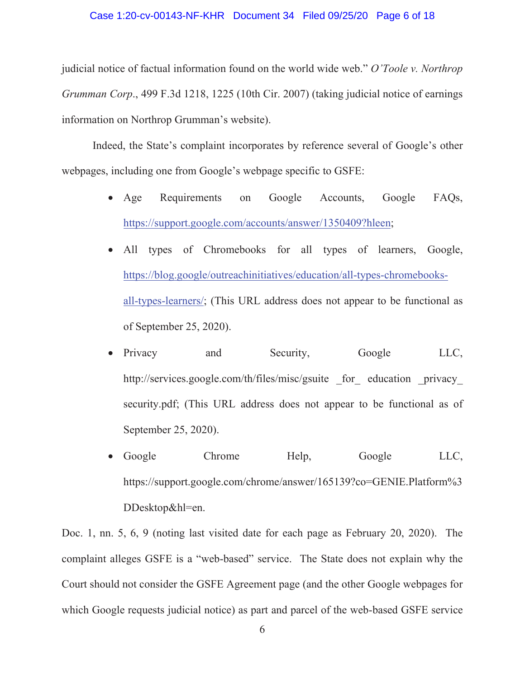### Case 1:20-cv-00143-NF-KHR Document 34 Filed 09/25/20 Page 6 of 18

judicial notice of factual information found on the world wide web." *O'Toole v. Northrop Grumman Corp*., 499 F.3d 1218, 1225 (10th Cir. 2007) (taking judicial notice of earnings information on Northrop Grumman's website).

Indeed, the State's complaint incorporates by reference several of Google's other webpages, including one from Google's webpage specific to GSFE:

- Age Requirements on Google Accounts, Google FAQs, https://support.google.com/accounts/answer/1350409?hleen;
- All types of Chromebooks for all types of learners, Google, https://blog.google/outreachinitiatives/education/all-types-chromebooksall-types-learners/; (This URL address does not appear to be functional as of September 25, 2020).
- Privacy and Security, Google LLC, http://services.google.com/th/files/misc/gsuite for education privacy security.pdf; (This URL address does not appear to be functional as of September 25, 2020).
- Google Chrome Help, Google LLC, https://support.google.com/chrome/answer/165139?co=GENIE.Platform%3 DDesktop&hl=en.

Doc. 1, nn. 5, 6, 9 (noting last visited date for each page as February 20, 2020). The complaint alleges GSFE is a "web-based" service. The State does not explain why the Court should not consider the GSFE Agreement page (and the other Google webpages for which Google requests judicial notice) as part and parcel of the web-based GSFE service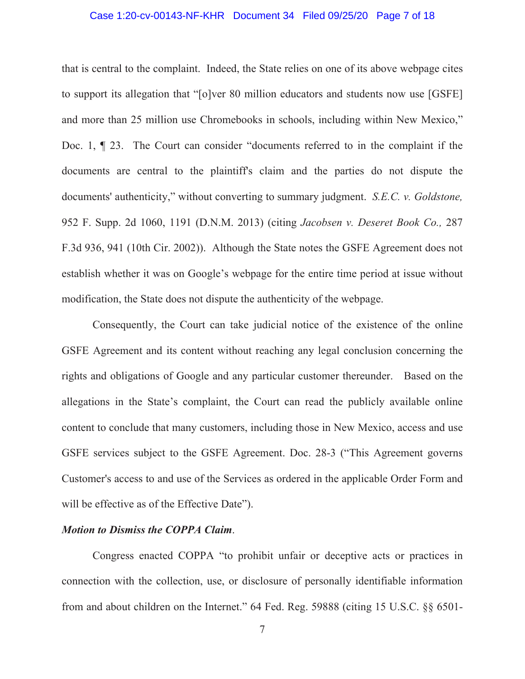### Case 1:20-cv-00143-NF-KHR Document 34 Filed 09/25/20 Page 7 of 18

that is central to the complaint. Indeed, the State relies on one of its above webpage cites to support its allegation that "[o]ver 80 million educators and students now use [GSFE] and more than 25 million use Chromebooks in schools, including within New Mexico," Doc. 1, ¶ 23. The Court can consider "documents referred to in the complaint if the documents are central to the plaintiff's claim and the parties do not dispute the documents' authenticity," without converting to summary judgment. *S.E.C. v. Goldstone,* 952 F. Supp. 2d 1060, 1191 (D.N.M. 2013) (citing *Jacobsen v. Deseret Book Co.,* 287 F.3d 936, 941 (10th Cir. 2002)). Although the State notes the GSFE Agreement does not establish whether it was on Google's webpage for the entire time period at issue without modification, the State does not dispute the authenticity of the webpage.

Consequently, the Court can take judicial notice of the existence of the online GSFE Agreement and its content without reaching any legal conclusion concerning the rights and obligations of Google and any particular customer thereunder. Based on the allegations in the State's complaint, the Court can read the publicly available online content to conclude that many customers, including those in New Mexico, access and use GSFE services subject to the GSFE Agreement. Doc. 28-3 ("This Agreement governs Customer's access to and use of the Services as ordered in the applicable Order Form and will be effective as of the Effective Date").

# *Motion to Dismiss the COPPA Claim*.

 Congress enacted COPPA "to prohibit unfair or deceptive acts or practices in connection with the collection, use, or disclosure of personally identifiable information from and about children on the Internet." 64 Fed. Reg. 59888 (citing 15 U.S.C. §§ 6501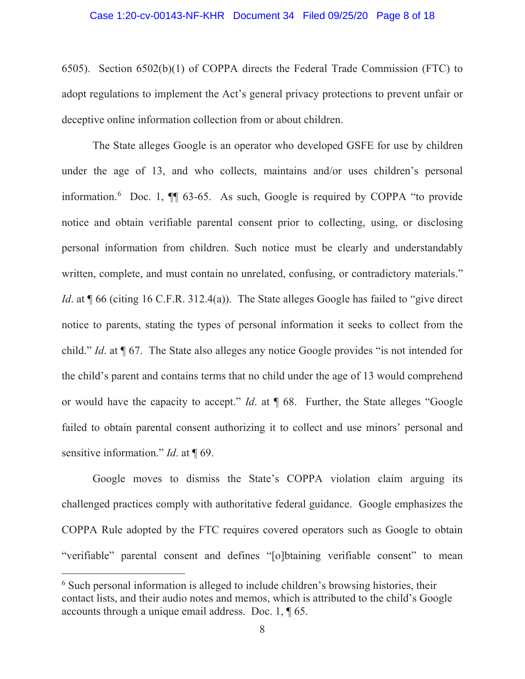6505). Section 6502(b)(1) of COPPA directs the Federal Trade Commission (FTC) to adopt regulations to implement the Act's general privacy protections to prevent unfair or deceptive online information collection from or about children.

The State alleges Google is an operator who developed GSFE for use by children under the age of 13, and who collects, maintains and/or uses children's personal information.<sup>6</sup> Doc. 1,  $\P$  63-65. As such, Google is required by COPPA "to provide notice and obtain verifiable parental consent prior to collecting, using, or disclosing personal information from children. Such notice must be clearly and understandably written, complete, and must contain no unrelated, confusing, or contradictory materials." *Id.* at  $\sqrt{ }$  66 (citing 16 C.F.R. 312.4(a)). The State alleges Google has failed to "give direct" notice to parents, stating the types of personal information it seeks to collect from the child." *Id*. at ¶ 67. The State also alleges any notice Google provides "is not intended for the child's parent and contains terms that no child under the age of 13 would comprehend or would have the capacity to accept." *Id*. at ¶ 68. Further, the State alleges "Google failed to obtain parental consent authorizing it to collect and use minors' personal and sensitive information." *Id.* at ¶ 69.

 Google moves to dismiss the State's COPPA violation claim arguing its challenged practices comply with authoritative federal guidance. Google emphasizes the COPPA Rule adopted by the FTC requires covered operators such as Google to obtain "verifiable" parental consent and defines "[o]btaining verifiable consent" to mean

<sup>&</sup>lt;sup>6</sup> Such personal information is alleged to include children's browsing histories, their contact lists, and their audio notes and memos, which is attributed to the child's Google accounts through a unique email address. Doc. 1, ¶ 65.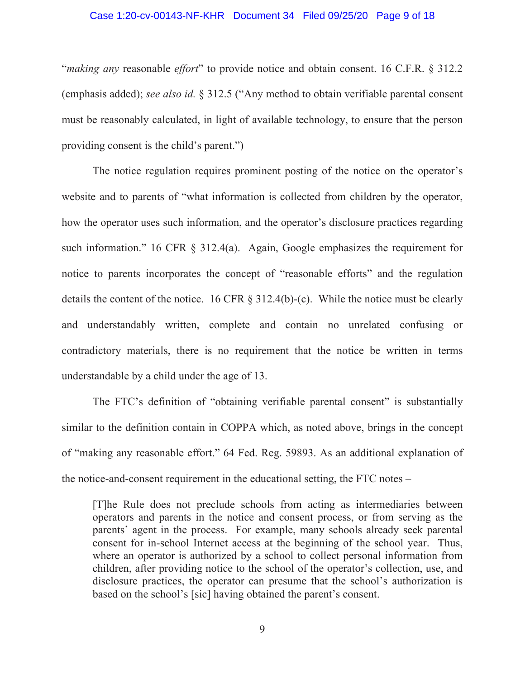#### Case 1:20-cv-00143-NF-KHR Document 34 Filed 09/25/20 Page 9 of 18

"*making any* reasonable *effort*" to provide notice and obtain consent. 16 C.F.R. § 312.2 (emphasis added); *see also id.* § 312.5 ("Any method to obtain verifiable parental consent must be reasonably calculated, in light of available technology, to ensure that the person providing consent is the child's parent.")

 The notice regulation requires prominent posting of the notice on the operator's website and to parents of "what information is collected from children by the operator, how the operator uses such information, and the operator's disclosure practices regarding such information." 16 CFR § 312.4(a). Again, Google emphasizes the requirement for notice to parents incorporates the concept of "reasonable efforts" and the regulation details the content of the notice. 16 CFR § 312.4(b)-(c). While the notice must be clearly and understandably written, complete and contain no unrelated confusing or contradictory materials, there is no requirement that the notice be written in terms understandable by a child under the age of 13.

The FTC's definition of "obtaining verifiable parental consent" is substantially similar to the definition contain in COPPA which, as noted above, brings in the concept of "making any reasonable effort." 64 Fed. Reg. 59893. As an additional explanation of the notice-and-consent requirement in the educational setting, the FTC notes –

[T]he Rule does not preclude schools from acting as intermediaries between operators and parents in the notice and consent process, or from serving as the parents' agent in the process. For example, many schools already seek parental consent for in-school Internet access at the beginning of the school year. Thus, where an operator is authorized by a school to collect personal information from children, after providing notice to the school of the operator's collection, use, and disclosure practices, the operator can presume that the school's authorization is based on the school's [sic] having obtained the parent's consent.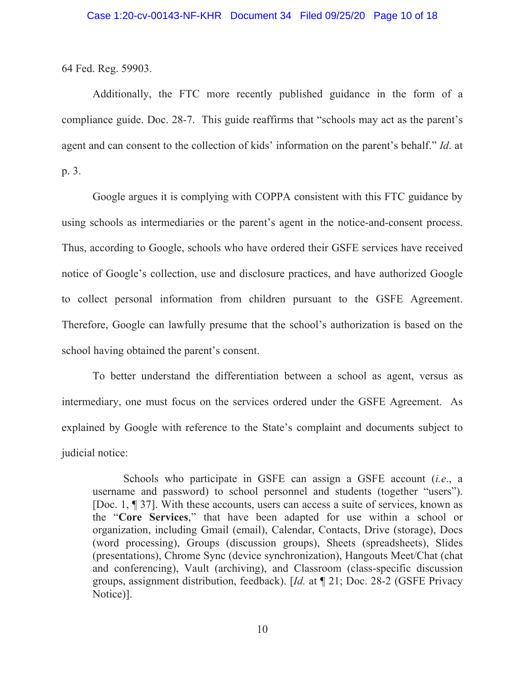64 Fed. Reg. 59903.

Additionally, the FTC more recently published guidance in the form of a compliance guide. Doc. 28-7. This guide reaffirms that "schools may act as the parent's agent and can consent to the collection of kids' information on the parent's behalf." *Id*. at p. 3.

Google argues it is complying with COPPA consistent with this FTC guidance by using schools as intermediaries or the parent's agent in the notice-and-consent process. Thus, according to Google, schools who have ordered their GSFE services have received notice of Google's collection, use and disclosure practices, and have authorized Google to collect personal information from children pursuant to the GSFE Agreement. Therefore, Google can lawfully presume that the school's authorization is based on the school having obtained the parent's consent.

To better understand the differentiation between a school as agent, versus as intermediary, one must focus on the services ordered under the GSFE Agreement. As explained by Google with reference to the State's complaint and documents subject to judicial notice:

Schools who participate in GSFE can assign a GSFE account (*i.e*., a username and password) to school personnel and students (together "users"). [Doc. 1, ¶ 37]. With these accounts, users can access a suite of services, known as the "**Core Services**," that have been adapted for use within a school or organization, including Gmail (email), Calendar, Contacts, Drive (storage), Docs (word processing), Groups (discussion groups), Sheets (spreadsheets), Slides (presentations), Chrome Sync (device synchronization), Hangouts Meet/Chat (chat and conferencing), Vault (archiving), and Classroom (class-specific discussion groups, assignment distribution, feedback). [*Id.* at ¶ 21; Doc. 28-2 (GSFE Privacy Notice)].

10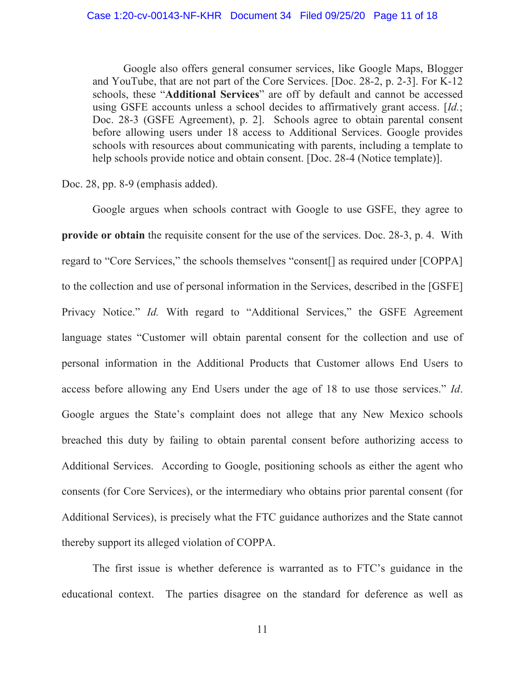Google also offers general consumer services, like Google Maps, Blogger and YouTube, that are not part of the Core Services. [Doc. 28-2, p. 2-3]. For K-12 schools, these "**Additional Services**" are off by default and cannot be accessed using GSFE accounts unless a school decides to affirmatively grant access. [*Id.*; Doc. 28-3 (GSFE Agreement), p. 2]. Schools agree to obtain parental consent before allowing users under 18 access to Additional Services. Google provides schools with resources about communicating with parents, including a template to help schools provide notice and obtain consent. [Doc. 28-4 (Notice template)].

Doc. 28, pp. 8-9 (emphasis added).

Google argues when schools contract with Google to use GSFE, they agree to **provide or obtain** the requisite consent for the use of the services. Doc. 28-3, p. 4. With regard to "Core Services," the schools themselves "consent[] as required under [COPPA] to the collection and use of personal information in the Services, described in the [GSFE] Privacy Notice." *Id.* With regard to "Additional Services," the GSFE Agreement language states "Customer will obtain parental consent for the collection and use of personal information in the Additional Products that Customer allows End Users to access before allowing any End Users under the age of 18 to use those services." *Id*. Google argues the State's complaint does not allege that any New Mexico schools breached this duty by failing to obtain parental consent before authorizing access to Additional Services. According to Google, positioning schools as either the agent who consents (for Core Services), or the intermediary who obtains prior parental consent (for Additional Services), is precisely what the FTC guidance authorizes and the State cannot thereby support its alleged violation of COPPA.

The first issue is whether deference is warranted as to FTC's guidance in the educational context. The parties disagree on the standard for deference as well as

11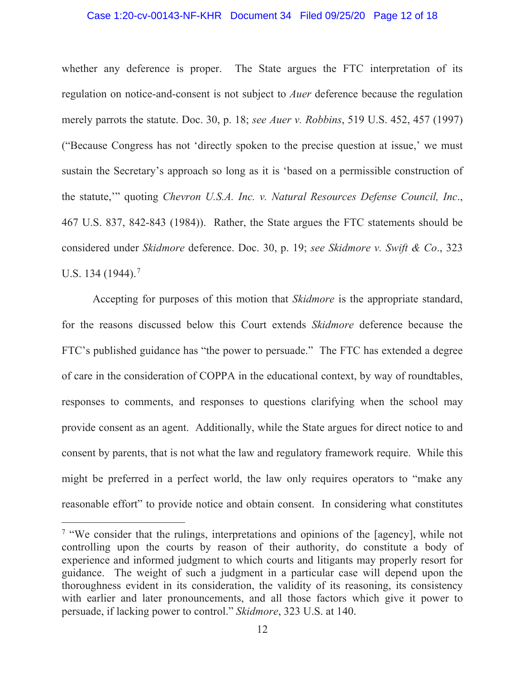### Case 1:20-cv-00143-NF-KHR Document 34 Filed 09/25/20 Page 12 of 18

whether any deference is proper. The State argues the FTC interpretation of its regulation on notice-and-consent is not subject to *Auer* deference because the regulation merely parrots the statute. Doc. 30, p. 18; *see Auer v. Robbins*, 519 U.S. 452, 457 (1997) ("Because Congress has not 'directly spoken to the precise question at issue,' we must sustain the Secretary's approach so long as it is 'based on a permissible construction of the statute,'" quoting *Chevron U.S.A. Inc. v. Natural Resources Defense Council, Inc*., 467 U.S. 837, 842-843 (1984)). Rather, the State argues the FTC statements should be considered under *Skidmore* deference. Doc. 30, p. 19; *see Skidmore v. Swift & Co*., 323 U.S. 134 (1944).<sup>7</sup>

Accepting for purposes of this motion that *Skidmore* is the appropriate standard, for the reasons discussed below this Court extends *Skidmore* deference because the FTC's published guidance has "the power to persuade." The FTC has extended a degree of care in the consideration of COPPA in the educational context, by way of roundtables, responses to comments, and responses to questions clarifying when the school may provide consent as an agent. Additionally, while the State argues for direct notice to and consent by parents, that is not what the law and regulatory framework require. While this might be preferred in a perfect world, the law only requires operators to "make any reasonable effort" to provide notice and obtain consent. In considering what constitutes

<sup>&</sup>lt;sup>7</sup> "We consider that the rulings, interpretations and opinions of the [agency], while not controlling upon the courts by reason of their authority, do constitute a body of experience and informed judgment to which courts and litigants may properly resort for guidance. The weight of such a judgment in a particular case will depend upon the thoroughness evident in its consideration, the validity of its reasoning, its consistency with earlier and later pronouncements, and all those factors which give it power to persuade, if lacking power to control." *Skidmore*, 323 U.S. at 140.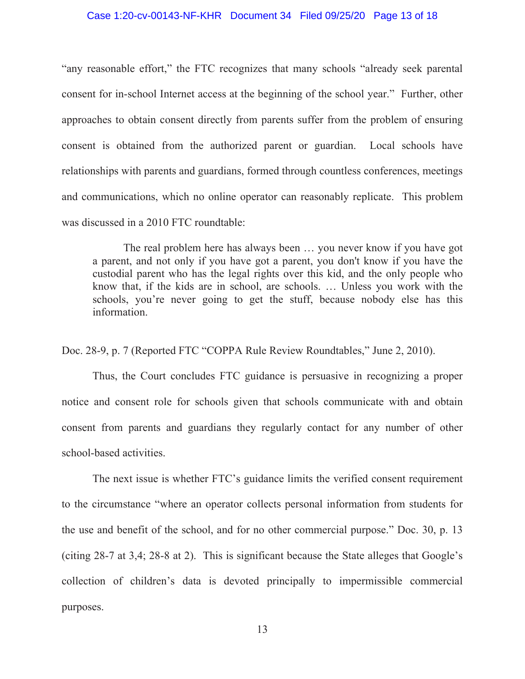### Case 1:20-cv-00143-NF-KHR Document 34 Filed 09/25/20 Page 13 of 18

"any reasonable effort," the FTC recognizes that many schools "already seek parental consent for in-school Internet access at the beginning of the school year." Further, other approaches to obtain consent directly from parents suffer from the problem of ensuring consent is obtained from the authorized parent or guardian. Local schools have relationships with parents and guardians, formed through countless conferences, meetings and communications, which no online operator can reasonably replicate. This problem was discussed in a 2010 FTC roundtable:

The real problem here has always been … you never know if you have got a parent, and not only if you have got a parent, you don't know if you have the custodial parent who has the legal rights over this kid, and the only people who know that, if the kids are in school, are schools. … Unless you work with the schools, you're never going to get the stuff, because nobody else has this information.

Doc. 28-9, p. 7 (Reported FTC "COPPA Rule Review Roundtables," June 2, 2010).

Thus, the Court concludes FTC guidance is persuasive in recognizing a proper notice and consent role for schools given that schools communicate with and obtain consent from parents and guardians they regularly contact for any number of other school-based activities.

The next issue is whether FTC's guidance limits the verified consent requirement to the circumstance "where an operator collects personal information from students for the use and benefit of the school, and for no other commercial purpose." Doc. 30, p. 13 (citing 28-7 at 3,4; 28-8 at 2). This is significant because the State alleges that Google's collection of children's data is devoted principally to impermissible commercial purposes.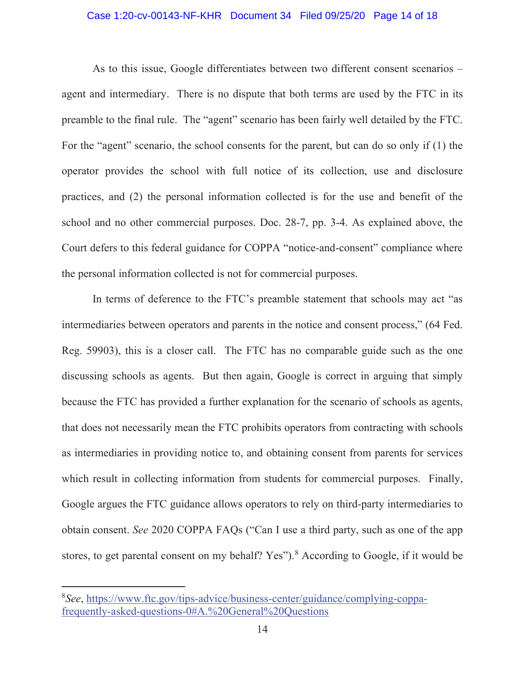### Case 1:20-cv-00143-NF-KHR Document 34 Filed 09/25/20 Page 14 of 18

As to this issue, Google differentiates between two different consent scenarios – agent and intermediary. There is no dispute that both terms are used by the FTC in its preamble to the final rule. The "agent" scenario has been fairly well detailed by the FTC. For the "agent" scenario, the school consents for the parent, but can do so only if (1) the operator provides the school with full notice of its collection, use and disclosure practices, and (2) the personal information collected is for the use and benefit of the school and no other commercial purposes. Doc. 28-7, pp. 3-4. As explained above, the Court defers to this federal guidance for COPPA "notice-and-consent" compliance where the personal information collected is not for commercial purposes.

In terms of deference to the FTC's preamble statement that schools may act "as intermediaries between operators and parents in the notice and consent process," (64 Fed. Reg. 59903), this is a closer call. The FTC has no comparable guide such as the one discussing schools as agents. But then again, Google is correct in arguing that simply because the FTC has provided a further explanation for the scenario of schools as agents, that does not necessarily mean the FTC prohibits operators from contracting with schools as intermediaries in providing notice to, and obtaining consent from parents for services which result in collecting information from students for commercial purposes. Finally, Google argues the FTC guidance allows operators to rely on third-party intermediaries to obtain consent. *See* 2020 COPPA FAQs ("Can I use a third party, such as one of the app stores, to get parental consent on my behalf? Yes").<sup>8</sup> According to Google, if it would be

<sup>8</sup> *See*, https://www.ftc.gov/tips-advice/business-center/guidance/complying-coppafrequently-asked-questions-0#A.%20General%20Questions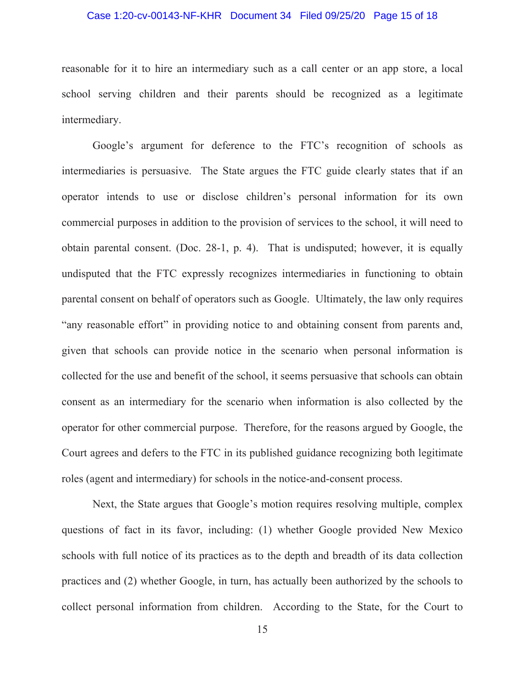### Case 1:20-cv-00143-NF-KHR Document 34 Filed 09/25/20 Page 15 of 18

reasonable for it to hire an intermediary such as a call center or an app store, a local school serving children and their parents should be recognized as a legitimate intermediary.

Google's argument for deference to the FTC's recognition of schools as intermediaries is persuasive. The State argues the FTC guide clearly states that if an operator intends to use or disclose children's personal information for its own commercial purposes in addition to the provision of services to the school, it will need to obtain parental consent. (Doc. 28-1, p. 4). That is undisputed; however, it is equally undisputed that the FTC expressly recognizes intermediaries in functioning to obtain parental consent on behalf of operators such as Google. Ultimately, the law only requires "any reasonable effort" in providing notice to and obtaining consent from parents and, given that schools can provide notice in the scenario when personal information is collected for the use and benefit of the school, it seems persuasive that schools can obtain consent as an intermediary for the scenario when information is also collected by the operator for other commercial purpose. Therefore, for the reasons argued by Google, the Court agrees and defers to the FTC in its published guidance recognizing both legitimate roles (agent and intermediary) for schools in the notice-and-consent process.

Next, the State argues that Google's motion requires resolving multiple, complex questions of fact in its favor, including: (1) whether Google provided New Mexico schools with full notice of its practices as to the depth and breadth of its data collection practices and (2) whether Google, in turn, has actually been authorized by the schools to collect personal information from children. According to the State, for the Court to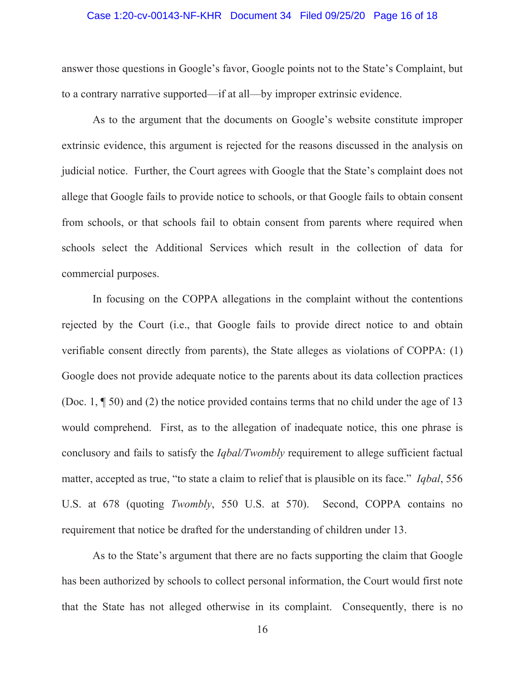#### Case 1:20-cv-00143-NF-KHR Document 34 Filed 09/25/20 Page 16 of 18

answer those questions in Google's favor, Google points not to the State's Complaint, but to a contrary narrative supported—if at all—by improper extrinsic evidence.

As to the argument that the documents on Google's website constitute improper extrinsic evidence, this argument is rejected for the reasons discussed in the analysis on judicial notice. Further, the Court agrees with Google that the State's complaint does not allege that Google fails to provide notice to schools, or that Google fails to obtain consent from schools, or that schools fail to obtain consent from parents where required when schools select the Additional Services which result in the collection of data for commercial purposes.

In focusing on the COPPA allegations in the complaint without the contentions rejected by the Court (i.e., that Google fails to provide direct notice to and obtain verifiable consent directly from parents), the State alleges as violations of COPPA: (1) Google does not provide adequate notice to the parents about its data collection practices (Doc. 1, ¶ 50) and (2) the notice provided contains terms that no child under the age of 13 would comprehend. First, as to the allegation of inadequate notice, this one phrase is conclusory and fails to satisfy the *Iqbal/Twombly* requirement to allege sufficient factual matter, accepted as true, "to state a claim to relief that is plausible on its face." *Iqbal*, 556 U.S. at 678 (quoting *Twombly*, 550 U.S. at 570). Second, COPPA contains no requirement that notice be drafted for the understanding of children under 13.

As to the State's argument that there are no facts supporting the claim that Google has been authorized by schools to collect personal information, the Court would first note that the State has not alleged otherwise in its complaint. Consequently, there is no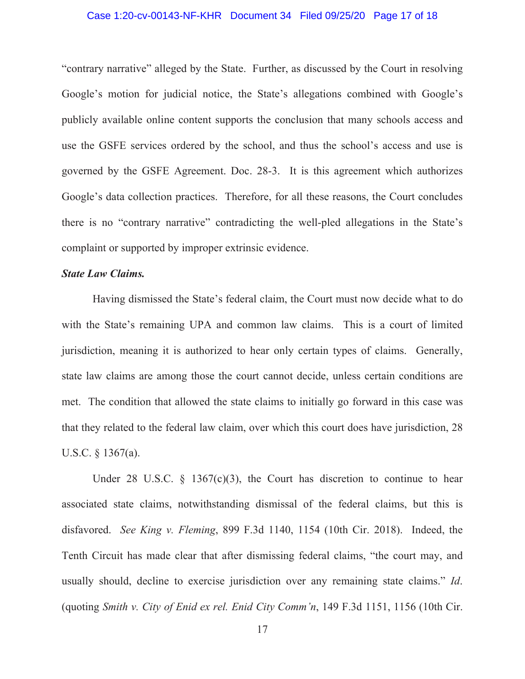### Case 1:20-cv-00143-NF-KHR Document 34 Filed 09/25/20 Page 17 of 18

"contrary narrative" alleged by the State. Further, as discussed by the Court in resolving Google's motion for judicial notice, the State's allegations combined with Google's publicly available online content supports the conclusion that many schools access and use the GSFE services ordered by the school, and thus the school's access and use is governed by the GSFE Agreement. Doc. 28-3. It is this agreement which authorizes Google's data collection practices. Therefore, for all these reasons, the Court concludes there is no "contrary narrative" contradicting the well-pled allegations in the State's complaint or supported by improper extrinsic evidence.

### *State Law Claims.*

 Having dismissed the State's federal claim, the Court must now decide what to do with the State's remaining UPA and common law claims. This is a court of limited jurisdiction, meaning it is authorized to hear only certain types of claims. Generally, state law claims are among those the court cannot decide, unless certain conditions are met. The condition that allowed the state claims to initially go forward in this case was that they related to the federal law claim, over which this court does have jurisdiction, 28 U.S.C. § 1367(a).

Under 28 U.S.C.  $\frac{1367(c)(3)}{c}$ , the Court has discretion to continue to hear associated state claims, notwithstanding dismissal of the federal claims, but this is disfavored. *See King v. Fleming*, 899 F.3d 1140, 1154 (10th Cir. 2018). Indeed, the Tenth Circuit has made clear that after dismissing federal claims, "the court may, and usually should, decline to exercise jurisdiction over any remaining state claims." *Id*. (quoting *Smith v. City of Enid ex rel. Enid City Comm'n*, 149 F.3d 1151, 1156 (10th Cir.